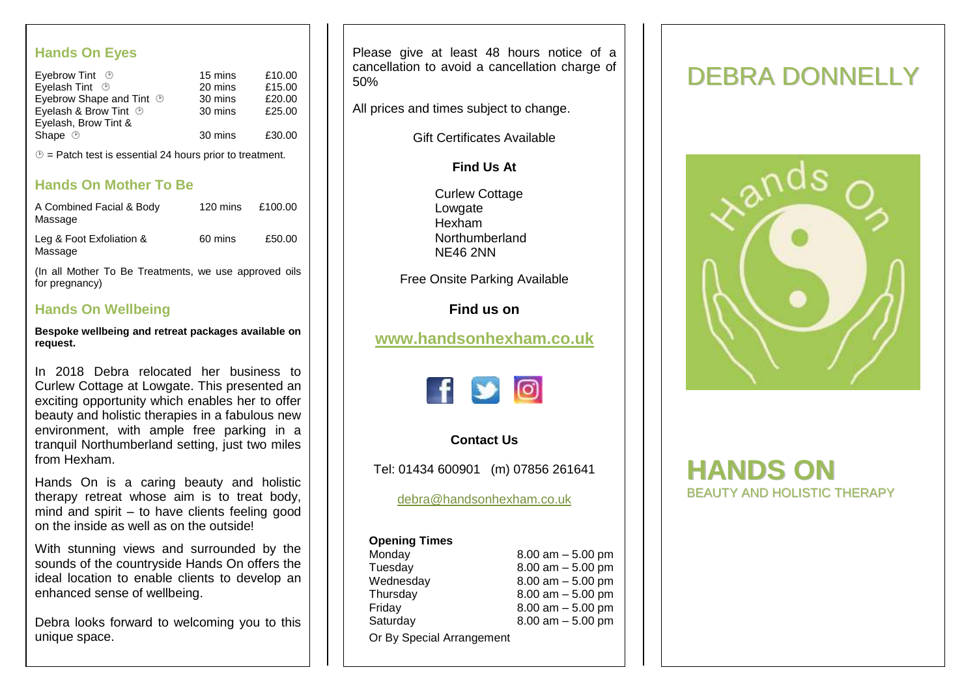## **Hands On Eyes**

| 15 mins | £10.00 |
|---------|--------|
| 20 mins | £15.00 |
| 30 mins | £20.00 |
| 30 mins | £25.00 |
|         |        |
| 30 mins | £30.00 |
|         |        |

 $\circled{e}$  = Patch test is essential 24 hours prior to treatment.

# **Hands On Mother To Be**

| A Combined Facial & Body<br>Massage                                     |         | 120 mins £100.00 |
|-------------------------------------------------------------------------|---------|------------------|
| Leg & Foot Exfoliation &<br>Massage                                     | 60 mins | £50.00           |
| (In all Mother To Be Treatments, we use approved oils<br>for pregnancy) |         |                  |

### **Hands On Wellbeing**

**Bespoke wellbeing and retreat packages available on request.**

In 2018 Debra relocated her business to Curlew Cottage at Lowgate. This presented an exciting opportunity which enables her to offer beauty and holistic therapies in a fabulous new environment, with ample free parking in a tranquil Northumberland setting, just two miles from Hexham.

Hands On is a caring beauty and holistic therapy retreat whose aim is to treat body, mind and spirit – to have clients feeling good on the inside as well as on the outside!

With stunning views and surrounded by the sounds of the countryside Hands On offers the ideal location to enable clients to develop an enhanced sense of wellbeing.

Debra looks forward to welcoming you to this unique space.

Please give at least 48 hours notice of a cancellation to avoid a cancellation charge of 50%

All prices and times subject to change.

Gift Certificates Available

**Find Us At**

Curlew Cottage Lowgate Hexham **Northumberland** NE46 2NN

Free Onsite Parking Available

**Find us on**

# **[www.handsonhexham.co.uk](http://www.handsonhexham.co.uk/)**



### **Contact Us**

Tel: 01434 600901 (m) 07856 261641

[debra@handsonhexham.co.uk](mailto:debra@handsonhexham.co.uk)

### **Opening Times**

| Monday                    | $8.00$ am $-5.00$ pm |
|---------------------------|----------------------|
| Tuesday                   | $8.00$ am $-5.00$ pm |
| Wednesday                 | $8.00$ am $-5.00$ pm |
| Thursday                  | $8.00$ am $-5.00$ pm |
| Friday                    | $8.00$ am $-5.00$ pm |
| Saturday                  | $8.00$ am $-5.00$ pm |
| Or By Special Arrangement |                      |

# DEBRA DONNELLY



# **HANDS ON** BEAUTY AND HOLISTIC THERAPY